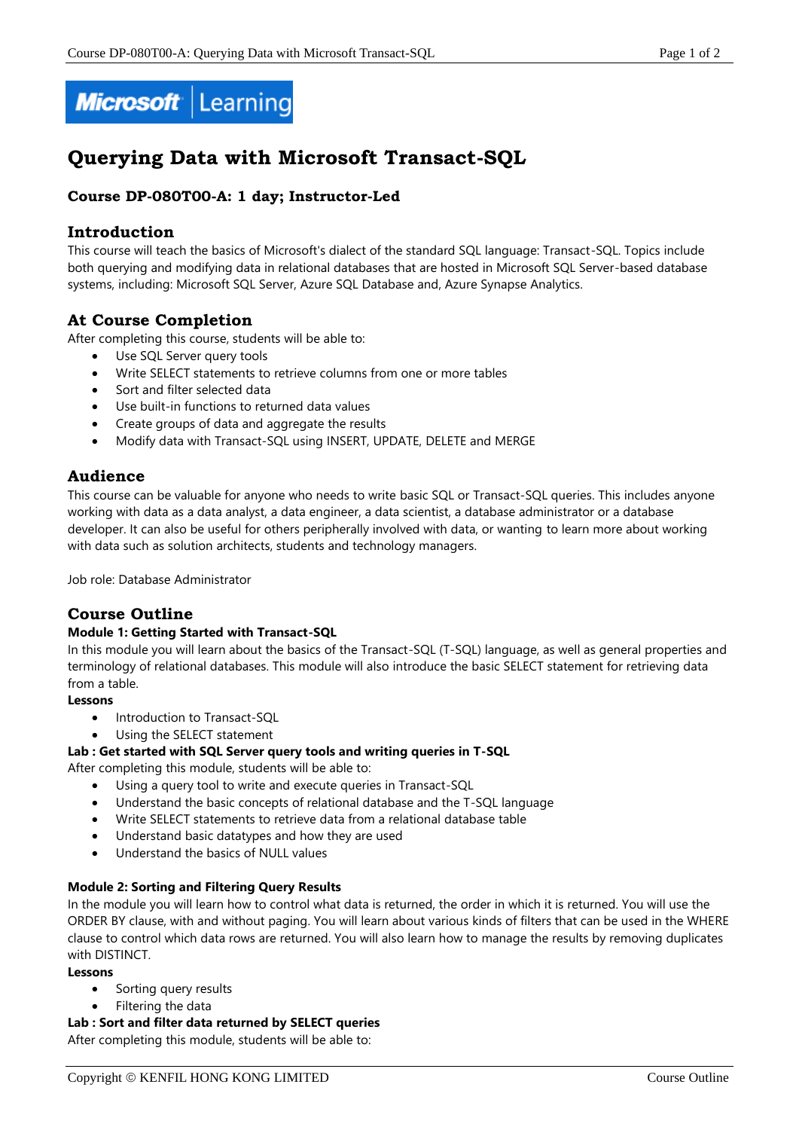

# **Querying Data with Microsoft Transact-SQL**

# **Course DP-080T00-A: 1 day; Instructor-Led**

# **Introduction**

This course will teach the basics of Microsoft's dialect of the standard SQL language: Transact-SQL. Topics include both querying and modifying data in relational databases that are hosted in Microsoft SQL Server-based database systems, including: Microsoft SQL Server, Azure SQL Database and, Azure Synapse Analytics.

# **At Course Completion**

After completing this course, students will be able to:

- Use SQL Server query tools
- Write SELECT statements to retrieve columns from one or more tables
- Sort and filter selected data
- Use built-in functions to returned data values
- Create groups of data and aggregate the results
- Modify data with Transact-SQL using INSERT, UPDATE, DELETE and MERGE

# **Audience**

This course can be valuable for anyone who needs to write basic SQL or Transact-SQL queries. This includes anyone working with data as a data analyst, a data engineer, a data scientist, a database administrator or a database developer. It can also be useful for others peripherally involved with data, or wanting to learn more about working with data such as solution architects, students and technology managers.

Job role: Database Administrator

# **Course Outline**

# **Module 1: Getting Started with Transact-SQL**

In this module you will learn about the basics of the Transact-SQL (T-SQL) language, as well as general properties and terminology of relational databases. This module will also introduce the basic SELECT statement for retrieving data from a table.

# **Lessons**

- Introduction to Transact-SQL
- Using the SELECT statement

# **Lab : Get started with SQL Server query tools and writing queries in T-SQL**

After completing this module, students will be able to:

- Using a query tool to write and execute queries in Transact-SQL
- Understand the basic concepts of relational database and the T-SQL language
- Write SELECT statements to retrieve data from a relational database table
- Understand basic datatypes and how they are used
- Understand the basics of NULL values

# **Module 2: Sorting and Filtering Query Results**

In the module you will learn how to control what data is returned, the order in which it is returned. You will use the ORDER BY clause, with and without paging. You will learn about various kinds of filters that can be used in the WHERE clause to control which data rows are returned. You will also learn how to manage the results by removing duplicates with DISTINCT.

### **Lessons**

- Sorting query results
- Filtering the data

### **Lab : Sort and filter data returned by SELECT queries**

After completing this module, students will be able to: